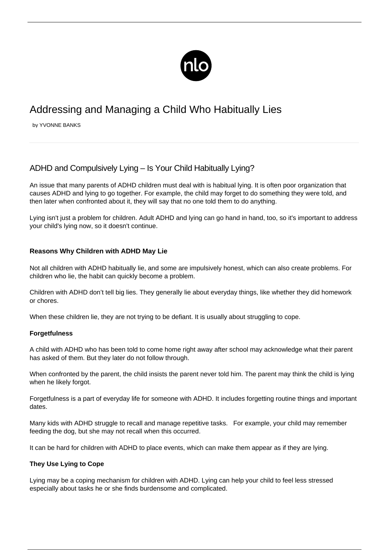

# Addressing and Managing a Child Who Habitually Lies

by YVONNE BANKS

# ADHD and Compulsively Lying – Is Your Child Habitually Lying?

An issue that many [parents of ADHD children](/adhd-parenting/) must deal with is habitual lying. It is often poor organization that causes ADHD and lying to go together. For example, the child may forget to do something they were told, and then later when confronted about it, they will say that no one told them to do anything.

Lying isn't just a problem for children. [Adult ADHD and lying](/adult-adhd-and-lying/) can go hand in hand, too, so it's important to address your child's lying now, so it doesn't continue.

# **Reasons Why Children with ADHD May Lie**

Not all [children with ADHD](/diagnosis-of-adhd/) habitually lie, and some are impulsively honest, which can also create problems. For children who lie, the habit can quickly become a problem.

Children with ADHD don't tell big lies. They generally lie about everyday things, like whether they did homework or chores.

When these children lie, they are not trying to be defiant. It is usually about struggling to cope.

# **Forgetfulness**

A child with ADHD who has been told to come home right away after school may acknowledge what their parent has asked of them. But they later do not follow through.

When confronted by the parent, the child insists the parent never told him. The parent may think the child is lying when he likely forgot.

Forgetfulness is a part of everyday life for someone with ADHD. It includes forgetting routine things and important dates.

Many kids with ADHD struggle to recall and manage repetitive tasks. For example, your child may remember feeding the dog, but she may not recall when this occurred.

It can be hard for children with ADHD to place events, which can make them appear as if they are lying.

# **They Use Lying to Cope**

Lying may be a coping mechanism for children with ADHD. Lying can help your child to feel less stressed especially about tasks he or she finds burdensome and complicated.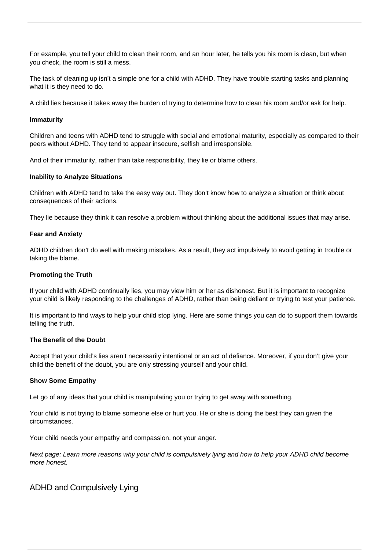For example, you tell your child to clean their room, and an hour later, he tells you his room is clean, but when you check, the room is still a mess.

The task of cleaning up isn't a simple one for a child with ADHD. They have trouble starting tasks and planning what it is they need to do.

A child lies because it takes away the burden of trying to determine how to clean his room and/or ask for help.

#### **Immaturity**

Children and teens with ADHD tend to struggle with social and emotional maturity, especially as compared to their peers without ADHD. They tend to appear insecure, selfish and irresponsible.

And of their immaturity, rather than take responsibility, they lie or blame others.

#### **Inability to Analyze Situations**

Children with ADHD tend to take the easy way out. They don't know how to analyze a situation or think about consequences of their actions.

They lie because they think it can resolve a problem without thinking about the additional issues that may arise.

#### **Fear and Anxiety**

ADHD children don't do well with making mistakes. As a result, they act impulsively to avoid getting in trouble or taking the blame.

#### **Promoting the Truth**

If your child with ADHD continually lies, you may view him or her as dishonest. But it is important to recognize your child is likely responding to the challenges of ADHD, rather than being defiant or trying to test your patience.

It is important to find ways to help your child stop lying. Here are some things you can do to support them towards telling the truth.

#### **The Benefit of the Doubt**

Accept that your child's lies aren't necessarily intentional or an act of defiance. Moreover, if you don't give your child the benefit of the doubt, you are only stressing yourself and your child.

#### **Show Some Empathy**

Let go of any ideas that your child is manipulating you or trying to get away with something.

Your child is not trying to blame someone else or hurt you. He or she is doing the best they can given the circumstances.

Your child needs your empathy and compassion, not your anger.

Next page: Learn more reasons why your child is compulsively lying and how to help your ADHD child become more honest.

ADHD and Compulsively Lying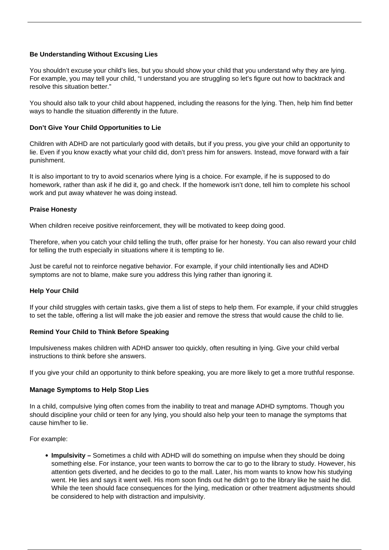# **Be Understanding Without Excusing Lies**

You shouldn't excuse your child's lies, but you should show your child that you understand why they are lying. For example, you may tell your child, "I understand you are struggling so let's figure out how to backtrack and resolve this situation better."

You should also talk to your child about happened, including the reasons for the lying. Then, help him find better ways to handle the situation differently in the future.

# **Don't Give Your Child Opportunities to Lie**

Children with ADHD are not particularly good with details, but if you press, you give your child an opportunity to lie. Even if you know exactly what your child did, don't press him for answers. Instead, move forward with a fair punishment.

It is also important to try to avoid scenarios where lying is a choice. For example, if he is supposed to do homework, rather than ask if he did it, go and check. If the homework isn't done, tell him to complete his school work and put away whatever he was doing instead.

#### **Praise Honesty**

When children receive positive reinforcement, they will be motivated to keep doing good.

Therefore, when you catch your child telling the truth, offer praise for her honesty. You can also reward your child for telling the truth especially in situations where it is tempting to lie.

Just be careful not to reinforce negative behavior. For example, if your child intentionally lies and [ADHD](/adhd-symptoms-in-children/) [symptoms](/adhd-symptoms-in-children/) are not to blame, make sure you address this lying rather than ignoring it.

# **Help Your Child**

If your child struggles with certain tasks, give them a list of steps to help them. For example, if your child struggles to set the table, offering a list will make the job easier and remove the stress that would cause the child to lie.

#### **Remind Your Child to Think Before Speaking**

Impulsiveness makes children with ADHD answer too quickly, often resulting in lying. Give your child verbal instructions to think before she answers.

If you give your child an opportunity to think before speaking, you are more likely to get a more truthful response.

#### **Manage Symptoms to Help Stop Lies**

In a child, compulsive lying often comes from the inability to treat and manage ADHD symptoms. Though you should discipline your child or teen for any lying, you should also help your teen to manage the symptoms that cause him/her to lie.

For example:

**Impulsivity –** Sometimes a child with ADHD will do something on impulse when they should be doing something else. For instance, your teen wants to borrow the car to go to the library to study. However, his attention gets diverted, and he decides to go to the mall. Later, his mom wants to know how his studying went. He lies and says it went well. His mom soon finds out he didn't go to the library like he said he did. While the teen should face consequences for the lying, medication or other treatment adjustments should be considered to help with distraction and impulsivity.